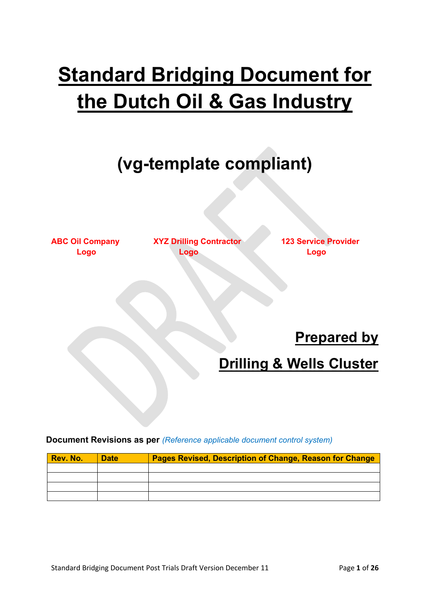# **Standard Bridging Document for the Dutch Oil & Gas Industry**

## **(vg-template compliant)**

**ABC Oil Company XYZ Drilling Contractor 123 Service Provider Logo Logo Logo**

**Prepared by**

## **Drilling & Wells Cluster**

**Document Revisions as per** *(Reference applicable document control system)*

| Rev. No. | <b>Date</b> | <b>Pages Revised, Description of Change, Reason for Change</b> |
|----------|-------------|----------------------------------------------------------------|
|          |             |                                                                |
|          |             |                                                                |
|          |             |                                                                |
|          |             |                                                                |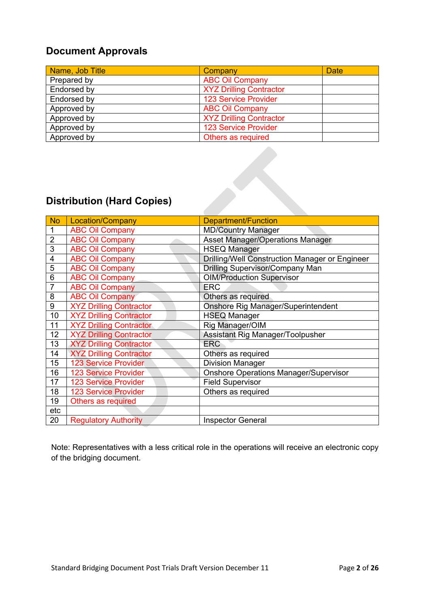### **Document Approvals**

| Name, Job Title | Company                        | <b>Date</b> |
|-----------------|--------------------------------|-------------|
| Prepared by     | <b>ABC Oil Company</b>         |             |
| Endorsed by     | <b>XYZ Drilling Contractor</b> |             |
| Endorsed by     | <b>123 Service Provider</b>    |             |
| Approved by     | <b>ABC Oil Company</b>         |             |
| Approved by     | <b>XYZ Drilling Contractor</b> |             |
| Approved by     | <b>123 Service Provider</b>    |             |
| Approved by     | Others as required             |             |

## **Distribution (Hard Copies)**

| <b>No</b>      | Location/Company               | Department/Function                                   |
|----------------|--------------------------------|-------------------------------------------------------|
| 1              | <b>ABC Oil Company</b>         | <b>MD/Country Manager</b>                             |
| $\overline{2}$ | <b>ABC Oil Company</b>         | <b>Asset Manager/Operations Manager</b>               |
| $\overline{3}$ | <b>ABC Oil Company</b>         | <b>HSEQ Manager</b>                                   |
| 4              | <b>ABC Oil Company</b>         | <b>Drilling/Well Construction Manager or Engineer</b> |
| 5              | <b>ABC Oil Company</b>         | Drilling Supervisor/Company Man                       |
| 6              | <b>ABC Oil Company</b>         | <b>OIM/Production Supervisor</b>                      |
| 7              | <b>ABC Oil Company</b>         | <b>ERC</b>                                            |
| 8              | <b>ABC Oil Company</b>         | Others as required                                    |
| 9              | <b>XYZ Drilling Contractor</b> | Onshore Rig Manager/Superintendent                    |
| 10             | <b>XYZ Drilling Contractor</b> | <b>HSEQ Manager</b>                                   |
| 11             | <b>XYZ Drilling Contractor</b> | Rig Manager/OIM                                       |
| 12             | <b>XYZ Drilling Contractor</b> | Assistant Rig Manager/Toolpusher                      |
| 13             | <b>XYZ Drilling Contractor</b> | <b>ERC</b>                                            |
| 14             | <b>XYZ Drilling Contractor</b> | Others as required                                    |
| 15             | <b>123 Service Provider</b>    | <b>Division Manager</b>                               |
| 16             | 123 Service Provider           | <b>Onshore Operations Manager/Supervisor</b>          |
| 17             | 123 Service Provider           | <b>Field Supervisor</b>                               |
| 18             | <b>123 Service Provider</b>    | Others as required                                    |
| 19             | Others as required             |                                                       |
| etc            |                                |                                                       |
| 20             | <b>Regulatory Authority</b>    | <b>Inspector General</b>                              |

Note: Representatives with a less critical role in the operations will receive an electronic copy of the bridging document.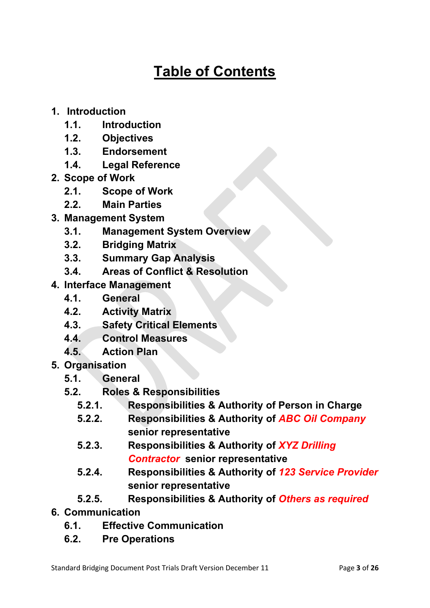## **Table of Contents**

- **1. Introduction**
	- **1.1. Introduction**
	- **1.2. Objectives**
	- **1.3. Endorsement**
	- **1.4. Legal Reference**
- **2. Scope of Work**
	- **2.1. Scope of Work**
	- **2.2. Main Parties**
- **3. Management System**
	- **3.1. Management System Overview**
	- **3.2. Bridging Matrix**
	- **3.3. Summary Gap Analysis**
	- **3.4. Areas of Conflict & Resolution**
- **4. Interface Management**
	- **4.1. General**
	- **4.2. Activity Matrix**
	- **4.3. Safety Critical Elements**
	- **4.4. Control Measures**
	- **4.5. Action Plan**
- **5. Organisation**
	- **5.1. General**
	- **5.2. Roles & Responsibilities**
		- **5.2.1. Responsibilities & Authority of Person in Charge**
		- **5.2.2. Responsibilities & Authority of** *ABC Oil Company* **senior representative**
		- **5.2.3. Responsibilities & Authority of** *XYZ Drilling Contractor* **senior representative**
		- **5.2.4. Responsibilities & Authority of** *123 Service Provider* **senior representative**
		- **5.2.5. Responsibilities & Authority of** *Others as required*
- **6. Communication**
	- **6.1. Effective Communication**
	- **6.2. Pre Operations**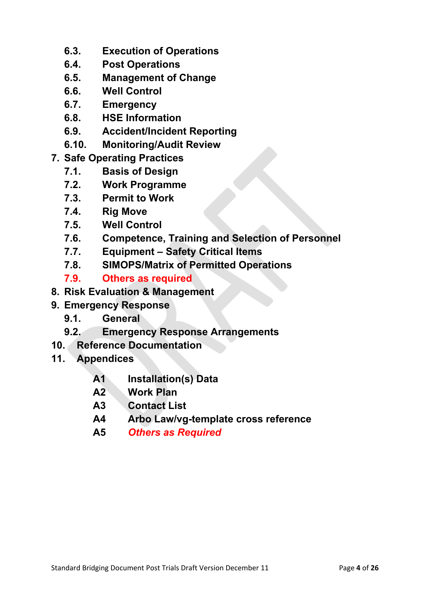- **6.3. Execution of Operations**
- **6.4. Post Operations**
- **6.5. Management of Change**
- **6.6. Well Control**
- **6.7. Emergency**
- **6.8. HSE Information**
- **6.9. Accident/Incident Reporting**
- **6.10. Monitoring/Audit Review**
- **7. Safe Operating Practices**
	- **7.1. Basis of Design**
	- **7.2. Work Programme**
	- **7.3. Permit to Work**
	- **7.4. Rig Move**
	- **7.5. Well Control**
	- **7.6. Competence, Training and Selection of Personnel**
	-
	- **7.7. Equipment – Safety Critical Items 7.8. SIMOPS/Matrix of Permitted Operations**
	- **7.9. Others as required**
- **8. Risk Evaluation & Management**
- **9. Emergency Response**
	- **9.1. General**
	- **9.2. Emergency Response Arrangements**
- **10. Reference Documentation**
- **11. Appendices**
	- **A1 Installation(s) Data**
	- **A2 Work Plan**
	- **A3 Contact List**
	- **A4 Arbo Law/vg-template cross reference**
	- **A5** *Others as Required*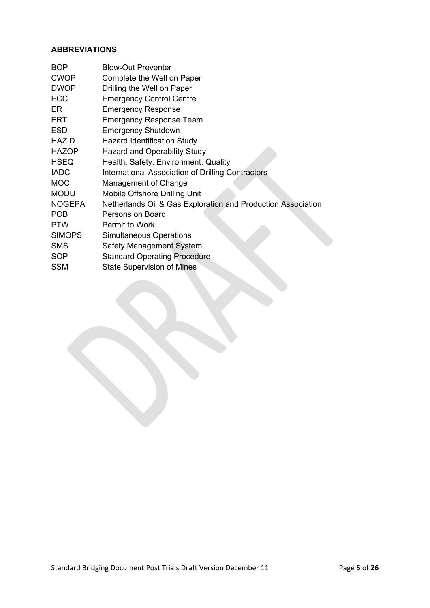#### **ABBREVIATIONS**

| <b>BOP</b>    | <b>Blow-Out Preventer</b>                                    |
|---------------|--------------------------------------------------------------|
| <b>CWOP</b>   | Complete the Well on Paper                                   |
| <b>DWOP</b>   | Drilling the Well on Paper                                   |
| <b>ECC</b>    | <b>Emergency Control Centre</b>                              |
| ER            | <b>Emergency Response</b>                                    |
| ERT           | <b>Emergency Response Team</b>                               |
| <b>ESD</b>    | <b>Emergency Shutdown</b>                                    |
| <b>HAZID</b>  | <b>Hazard Identification Study</b>                           |
| <b>HAZOP</b>  | <b>Hazard and Operability Study</b>                          |
| <b>HSEQ</b>   | Health, Safety, Environment, Quality                         |
| <b>IADC</b>   | International Association of Drilling Contractors            |
| <b>MOC</b>    | Management of Change                                         |
| <b>MODU</b>   | Mobile Offshore Drilling Unit                                |
| <b>NOGEPA</b> | Netherlands Oil & Gas Exploration and Production Association |
| <b>POB</b>    | Persons on Board                                             |
| <b>PTW</b>    | Permit to Work                                               |
| <b>SIMOPS</b> | <b>Simultaneous Operations</b>                               |
| <b>SMS</b>    | Safety Management System                                     |
| <b>SOP</b>    | <b>Standard Operating Procedure</b>                          |
| <b>SSM</b>    | <b>State Supervision of Mines</b>                            |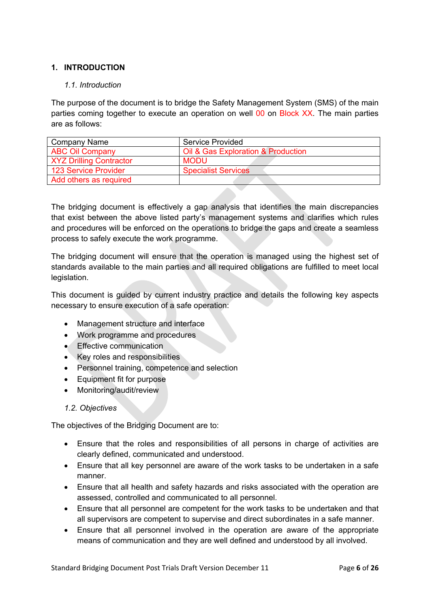### **1. INTRODUCTION**

#### *1.1. Introduction*

The purpose of the document is to bridge the Safety Management System (SMS) of the main parties coming together to execute an operation on well 00 on Block XX. The main parties are as follows:

| Company Name                   | Service Provided                   |  |  |  |  |
|--------------------------------|------------------------------------|--|--|--|--|
| <b>ABC Oil Company</b>         | Oil & Gas Exploration & Production |  |  |  |  |
| <b>XYZ Drilling Contractor</b> | <b>MODU</b>                        |  |  |  |  |
| <b>123 Service Provider</b>    | <b>Specialist Services</b>         |  |  |  |  |
| Add others as required         |                                    |  |  |  |  |

The bridging document is effectively a gap analysis that identifies the main discrepancies that exist between the above listed party's management systems and clarifies which rules and procedures will be enforced on the operations to bridge the gaps and create a seamless process to safely execute the work programme.

The bridging document will ensure that the operation is managed using the highest set of standards available to the main parties and all required obligations are fulfilled to meet local legislation.

This document is guided by current industry practice and details the following key aspects necessary to ensure execution of a safe operation:

- Management structure and interface
- Work programme and procedures
- Effective communication
- Key roles and responsibilities
- Personnel training, competence and selection
- Equipment fit for purpose
- Monitoring/audit/review
- *1.2. Objectives*

The objectives of the Bridging Document are to:

- Ensure that the roles and responsibilities of all persons in charge of activities are clearly defined, communicated and understood.
- Ensure that all key personnel are aware of the work tasks to be undertaken in a safe manner.
- Ensure that all health and safety hazards and risks associated with the operation are assessed, controlled and communicated to all personnel.
- Ensure that all personnel are competent for the work tasks to be undertaken and that all supervisors are competent to supervise and direct subordinates in a safe manner.
- Ensure that all personnel involved in the operation are aware of the appropriate means of communication and they are well defined and understood by all involved.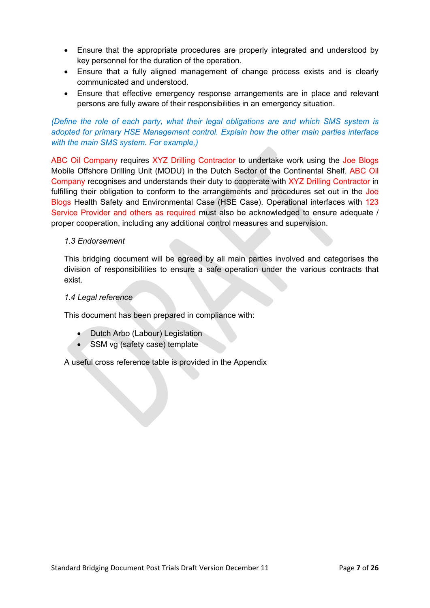- Ensure that the appropriate procedures are properly integrated and understood by key personnel for the duration of the operation.
- Ensure that a fully aligned management of change process exists and is clearly communicated and understood.
- Ensure that effective emergency response arrangements are in place and relevant persons are fully aware of their responsibilities in an emergency situation.

#### *(Define the role of each party, what their legal obligations are and which SMS system is adopted for primary HSE Management control. Explain how the other main parties interface with the main SMS system. For example,)*

ABC Oil Company requires XYZ Drilling Contractor to undertake work using the Joe Blogs Mobile Offshore Drilling Unit (MODU) in the Dutch Sector of the Continental Shelf. ABC Oil Company recognises and understands their duty to cooperate with XYZ Drilling Contractor in fulfilling their obligation to conform to the arrangements and procedures set out in the Joe Blogs Health Safety and Environmental Case (HSE Case). Operational interfaces with 123 Service Provider and others as required must also be acknowledged to ensure adequate / proper cooperation, including any additional control measures and supervision.

#### *1.3 Endorsement*

This bridging document will be agreed by all main parties involved and categorises the division of responsibilities to ensure a safe operation under the various contracts that exist.

#### *1.4 Legal reference*

This document has been prepared in compliance with:

- Dutch Arbo (Labour) Legislation
- SSM vg (safety case) template

A useful cross reference table is provided in the Appendix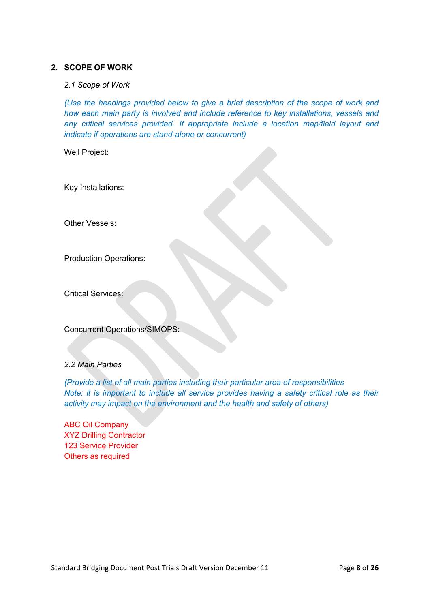#### **2. SCOPE OF WORK**

#### *2.1 Scope of Work*

*(Use the headings provided below to give a brief description of the scope of work and how each main party is involved and include reference to key installations, vessels and any critical services provided. If appropriate include a location map/field layout and indicate if operations are stand-alone or concurrent)*

Well Project:

Key Installations:

Other Vessels:

Production Operations:

Critical Services:

Concurrent Operations/SIMOPS:

#### *2.2 Main Parties*

*(Provide a list of all main parties including their particular area of responsibilities Note: it is important to include all service provides having a safety critical role as their activity may impact on the environment and the health and safety of others)*

ABC Oil Company XYZ Drilling Contractor 123 Service Provider Others as required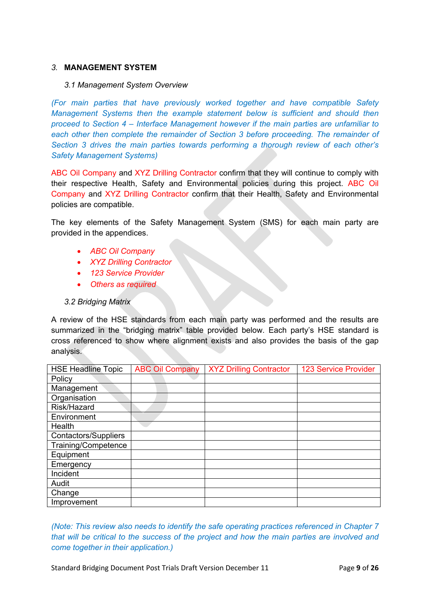#### *3.* **MANAGEMENT SYSTEM**

#### *3.1 Management System Overview*

*(For main parties that have previously worked together and have compatible Safety Management Systems then the example statement below is sufficient and should then proceed to Section 4 – Interface Management however if the main parties are unfamiliar to each other then complete the remainder of Section 3 before proceeding. The remainder of Section 3 drives the main parties towards performing a thorough review of each other's Safety Management Systems)*

ABC Oil Company and XYZ Drilling Contractor confirm that they will continue to comply with their respective Health, Safety and Environmental policies during this project. ABC Oil Company and XYZ Drilling Contractor confirm that their Health, Safety and Environmental policies are compatible.

The key elements of the Safety Management System (SMS) for each main party are provided in the appendices.

- *ABC Oil Company*
- *XYZ Drilling Contractor*
- *123 Service Provider*
- *Others as required*

#### *3.2 Bridging Matrix*

A review of the HSE standards from each main party was performed and the results are summarized in the "bridging matrix" table provided below. Each party's HSE standard is cross referenced to show where alignment exists and also provides the basis of the gap analysis.

| <b>HSE Headline Topic</b>   | <b>ABC Oil Company</b> | <b>XYZ Drilling Contractor</b> | <b>123 Service Provider</b> |
|-----------------------------|------------------------|--------------------------------|-----------------------------|
| Policy                      |                        |                                |                             |
| Management                  |                        |                                |                             |
| Organisation                |                        |                                |                             |
| Risk/Hazard                 |                        |                                |                             |
| Environment                 |                        |                                |                             |
| Health                      |                        |                                |                             |
| <b>Contactors/Suppliers</b> |                        |                                |                             |
| Training/Competence         |                        |                                |                             |
| Equipment                   |                        |                                |                             |
| Emergency                   |                        |                                |                             |
| Incident                    |                        |                                |                             |
| Audit                       |                        |                                |                             |
| Change                      |                        |                                |                             |
| Improvement                 |                        |                                |                             |

*(Note: This review also needs to identify the safe operating practices referenced in Chapter 7 that will be critical to the success of the project and how the main parties are involved and come together in their application.)*

Standard Bridging Document Post Trials Draft Version December 11 Page **9** of **26**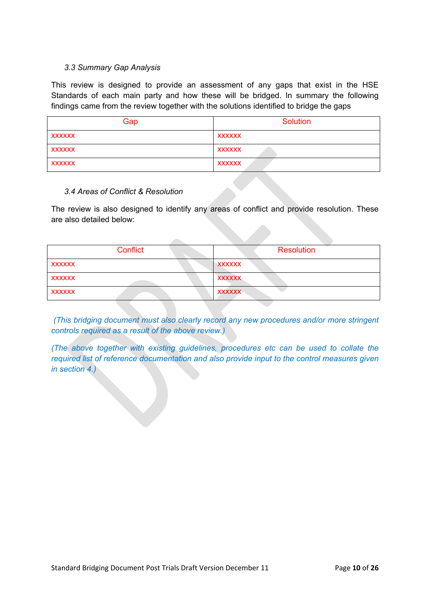#### *3.3 Summary Gap Analysis*

This review is designed to provide an assessment of any gaps that exist in the HSE Standards of each main party and how these will be bridged. In summary the following findings came from the review together with the solutions identified to bridge the gaps

| Gap           | Solution      |
|---------------|---------------|
| <b>XXXXXX</b> | <b>XXXXXX</b> |
| XXXXXX        | XXXXXX        |
| <b>XXXXXX</b> | <b>XXXXXX</b> |

#### *3.4 Areas of Conflict & Resolution*

The review is also designed to identify any areas of conflict and provide resolution. These are also detailed below:

| Conflict      | Resolution    |
|---------------|---------------|
| <b>XXXXXX</b> | XXXXXX        |
| <b>XXXXXX</b> | <b>XXXXXX</b> |
| <b>XXXXXX</b> | <b>XXXXXX</b> |

*(This bridging document must also clearly record any new procedures and/or more stringent controls required as a result of the above review.)*

*(The above together with existing guidelines, procedures etc can be used to collate the required list of reference documentation and also provide input to the control measures given in section 4.)*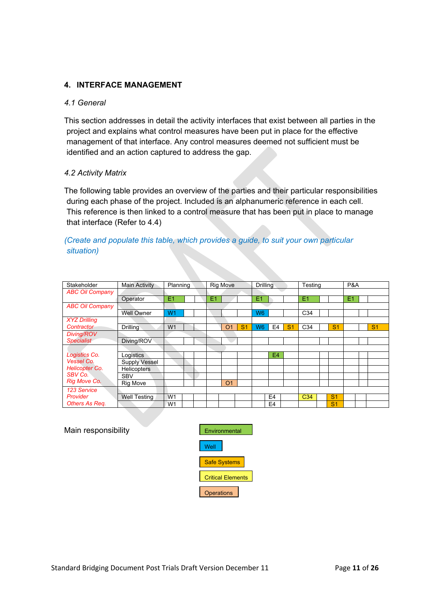### **4. INTERFACE MANAGEMENT**

#### *4.1 General*

This section addresses in detail the activity interfaces that exist between all parties in the project and explains what control measures have been put in place for the effective management of that interface. Any control measures deemed not sufficient must be identified and an action captured to address the gap.

#### *4.2 Activity Matrix*

The following table provides an overview of the parties and their particular responsibilities during each phase of the project. Included is an alphanumeric reference in each cell. This reference is then linked to a control measure that has been put in place to manage that interface (Refer to 4.4)

#### *(Create and populate this table, which provides a guide, to suit your own particular situation)*

| Stakeholder            | <b>Main Activity</b> | Planning       |  |                | <b>Rig Move</b> |                | <b>Drilling</b> |                |                | Testing         |                | P&A |                |
|------------------------|----------------------|----------------|--|----------------|-----------------|----------------|-----------------|----------------|----------------|-----------------|----------------|-----|----------------|
| <b>ABC Oil Company</b> |                      |                |  |                |                 |                |                 |                |                |                 |                |     |                |
|                        | Operator             | E1             |  | E <sub>1</sub> |                 |                | E1              |                |                | E1              |                | E1  |                |
| <b>ABC Oil Company</b> |                      |                |  |                |                 |                |                 |                |                |                 |                |     |                |
|                        | <b>Well Owner</b>    | W <sub>1</sub> |  |                |                 |                | W <sub>6</sub>  |                |                | C <sub>34</sub> |                |     |                |
| <b>XYZ Drilling</b>    |                      |                |  |                |                 |                |                 |                |                |                 |                |     |                |
| Contractor             | <b>Drilling</b>      | W <sub>1</sub> |  |                | O <sub>1</sub>  | S <sub>1</sub> | W <sub>6</sub>  | E4             | S <sub>1</sub> | C <sub>34</sub> | S <sub>1</sub> |     | S <sub>1</sub> |
| Diving/ROV             |                      |                |  |                |                 |                |                 |                |                |                 |                |     |                |
| <b>Specialist</b>      | Diving/ROV           |                |  |                |                 |                |                 |                |                |                 |                |     |                |
|                        |                      |                |  |                |                 |                |                 |                |                |                 |                |     |                |
| Logistics Co.          | Logistics            |                |  |                |                 |                |                 | E4             |                |                 |                |     |                |
| <b>Vessel Co.</b>      | Supply Vessel        |                |  |                |                 |                |                 |                |                |                 |                |     |                |
| <b>Helicopter Co.</b>  | <b>Helicopters</b>   |                |  |                |                 |                |                 |                |                |                 |                |     |                |
| SBV Co.                | <b>SBV</b>           |                |  |                |                 |                |                 |                |                |                 |                |     |                |
| Rig Move Co.           | <b>Rig Move</b>      |                |  |                | O <sub>1</sub>  |                |                 |                |                |                 |                |     |                |
| 123 Service            |                      |                |  |                |                 |                |                 |                |                |                 |                |     |                |
| Provider               | <b>Well Testing</b>  | W <sub>1</sub> |  |                |                 |                |                 | E <sub>4</sub> |                | C <sub>34</sub> | S <sub>1</sub> |     |                |
| Others As Req.         |                      | W <sub>1</sub> |  |                |                 |                |                 | E <sub>4</sub> |                |                 | S <sub>1</sub> |     |                |

#### Main responsibility **Environmental**

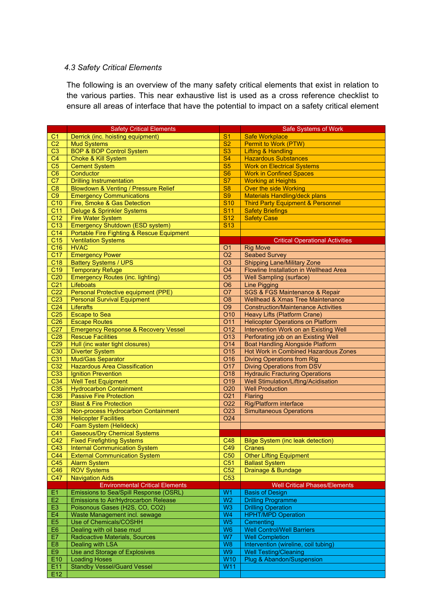#### *4.3 Safety Critical Elements*

The following is an overview of the many safety critical elements that exist in relation to the various parties. This near exhaustive list is used as a cross reference checklist to ensure all areas of interface that have the potential to impact on a safety critical element

|                                  | <b>Safety Critical Elements</b>                                    |                                  | Safe Systems of Work                          |
|----------------------------------|--------------------------------------------------------------------|----------------------------------|-----------------------------------------------|
| C <sub>1</sub>                   | Derrick (inc. hoisting equipment)                                  | S <sub>1</sub>                   | <b>Safe Workplace</b>                         |
| C <sub>2</sub>                   | <b>Mud Systems</b>                                                 | <b>S2</b>                        | Permit to Work (PTW)                          |
| C <sub>3</sub>                   | <b>BOP &amp; BOP Control System</b>                                | S <sub>3</sub>                   | Lifting & Handling                            |
| C <sub>4</sub>                   | <b>Choke &amp; Kill System</b>                                     | <b>S4</b>                        | <b>Hazardous Substances</b>                   |
| C <sub>5</sub>                   | <b>Cement System</b>                                               | <b>S5</b>                        | <b>Work on Electrical Systems</b>             |
| C <sub>6</sub>                   | Conductor                                                          | S <sub>6</sub>                   | <b>Work in Confined Spaces</b>                |
| $\overline{C7}$                  | <b>Drilling Instrumentation</b>                                    | $\overline{\mathbf{S7}}$         | <b>Working at Heights</b>                     |
| $\overline{C8}$                  | Blowdown & Venting / Pressure Relief                               | S <sub>8</sub>                   | Over the side Working                         |
| C9                               | <b>Emergency Communications</b>                                    | <b>S9</b>                        | <b>Materials Handling/deck plans</b>          |
| C <sub>10</sub>                  | Fire, Smoke & Gas Detection                                        | <b>S10</b>                       | <b>Third Party Equipment &amp; Personnel</b>  |
| C <sub>11</sub>                  | Deluge & Sprinkler Systems                                         | <b>S11</b>                       | <b>Safety Briefings</b>                       |
| C <sub>12</sub>                  | <b>Fire Water System</b>                                           | <b>S12</b>                       | <b>Safety Case</b>                            |
| C <sub>13</sub>                  | Emergency Shutdown (ESD system)                                    | <b>S13</b>                       |                                               |
| C <sub>14</sub>                  | Portable Fire Fighting & Rescue Equipment                          |                                  |                                               |
| C <sub>15</sub>                  | <b>Ventilation Systems</b>                                         |                                  | <b>Critical Operational Activities</b>        |
| C16                              | <b>HVAC</b>                                                        | O <sub>1</sub>                   | <b>Rig Move</b>                               |
| C <sub>17</sub>                  | <b>Emergency Power</b>                                             | O <sub>2</sub>                   | <b>Seabed Survey</b>                          |
| C <sub>18</sub>                  | <b>Battery Systems / UPS</b>                                       | O <sub>3</sub>                   | <b>Shipping Lane/Military Zone</b>            |
| C <sub>19</sub>                  |                                                                    | <b>O4</b>                        | Flowline Installation in Wellhead Area        |
| C <sub>20</sub>                  | <b>Temporary Refuge</b><br><b>Emergency Routes (inc. lighting)</b> | O <sub>5</sub>                   | <b>Well Sampling (surface)</b>                |
| C <sub>21</sub>                  | Lifeboats                                                          | O <sub>6</sub>                   |                                               |
|                                  | Personal Protective equipment (PPE)                                | <b>O7</b>                        | <b>Line Pigging</b>                           |
| C <sub>22</sub>                  |                                                                    |                                  | <b>SGS &amp; FGS Maintenance &amp; Repair</b> |
| C <sub>23</sub>                  | <b>Personal Survival Equipment</b>                                 | O <sub>8</sub>                   | <b>Wellhead &amp; Xmas Tree Maintenance</b>   |
| C <sub>24</sub>                  | <b>Liferafts</b>                                                   | O <sub>9</sub>                   | <b>Construction/Maintenance Activities</b>    |
| C <sub>25</sub>                  | <b>Escape to Sea</b>                                               | O <sub>10</sub>                  | Heavy Lifts (Platform Crane)                  |
| C <sub>26</sub>                  | <b>Escape Routes</b>                                               | O <sub>11</sub>                  | <b>Helicopter Operations on Platform</b>      |
| C <sub>27</sub>                  | <b>Emergency Response &amp; Recovery Vessel</b>                    | O <sub>12</sub>                  | Intervention Work on an Existing Well         |
| C <sub>28</sub>                  | <b>Rescue Facilities</b>                                           | O <sub>13</sub>                  | Perforating job on an Existing Well           |
| C <sub>29</sub>                  | Hull (inc water tight closures)                                    | O14                              | <b>Boat Handling Alongside Platform</b>       |
| C30                              | <b>Diverter System</b>                                             | O <sub>15</sub>                  | Hot Work in Combined Hazardous Zones          |
| C31                              | Mud/Gas Separator                                                  | O <sub>16</sub>                  | <b>Diving Operations from Rig</b>             |
| C32                              | <b>Hazardous Area Classification</b>                               | <b>O17</b>                       | <b>Diving Operations from DSV</b>             |
| C33                              | <b>Ignition Prevention</b>                                         | <b>O18</b>                       | <b>Hydraulic Fracturing Operations</b>        |
| C34                              | <b>Well Test Equipment</b>                                         | O <sub>19</sub>                  | Well Stimulation/Lifting/Acidisation          |
| C35                              | <b>Hydrocarbon Containment</b>                                     | O <sub>20</sub>                  | <b>Well Production</b>                        |
| C36                              | <b>Passive Fire Protection</b>                                     | O21                              | Flaring                                       |
| C37                              | <b>Blast &amp; Fire Protection</b>                                 | O22                              | Rig/Platform interface                        |
| C38                              | Non-process Hydrocarbon Containment                                | <b>O23</b>                       | <b>Simultaneous Operations</b>                |
| C <sub>39</sub>                  | <b>Helicopter Facilities</b>                                       | <b>O24</b>                       |                                               |
| C40                              | Foam System (Helideck)                                             |                                  |                                               |
| C41                              | <b>Gaseous/Dry Chemical Systems</b>                                |                                  |                                               |
| C42                              | <b>Fixed Firefighting Systems</b>                                  | C48                              | <b>Bilge System (inc leak detection)</b>      |
| C43                              | <b>Internal Communication System</b>                               |                                  | $C49$ $Cranes$                                |
| C44                              | <b>External Communication System</b>                               | C <sub>50</sub>                  | <b>Other Lifting Equipment</b>                |
| C45                              | <b>Alarm System</b>                                                | C <sub>51</sub>                  | <b>Ballast System</b>                         |
| C46                              | <b>ROV Systems</b>                                                 | C52                              | Drainage & Bundage                            |
| C47                              | <b>Navigation Aids</b>                                             | $\overline{C53}$                 |                                               |
|                                  | <b>Environmental Critical Elements</b>                             |                                  | <b>Well Critical Phases/Elements</b>          |
| E <sub>1</sub><br>E <sub>2</sub> | Emissions to Sea/Spill Response (OSRL)                             | W <sub>1</sub><br>W <sub>2</sub> | <b>Basis of Design</b>                        |
|                                  | Emissions to Air/Hydrocarbon Release                               |                                  | <b>Drilling Programme</b>                     |
| E <sub>3</sub>                   | Poisonous Gases (H2S, CO, CO2)                                     | W <sub>3</sub>                   | <b>Drilling Operation</b>                     |
| E <sub>4</sub>                   | Waste Management incl. sewage                                      | W <sub>4</sub>                   | <b>HPHT/MPD Operation</b>                     |
| E <sub>5</sub>                   | Use of Chemicals/COSHH                                             | W <sub>5</sub>                   | Cementing                                     |
| E <sub>6</sub>                   | Dealing with oil base mud                                          | W <sub>6</sub>                   | <b>Well Control/Well Barriers</b>             |
| E7                               | <b>Radioactive Materials, Sources</b>                              | W7                               | <b>Well Completion</b>                        |
| E <sub>8</sub>                   | Dealing with LSA                                                   | W <sub>8</sub>                   | Intervention (wireline, coil tubing)          |
| E9                               | Use and Storage of Explosives                                      | W <sub>9</sub>                   | <b>Well Testing/Cleaning</b>                  |
| E10                              | <b>Loading Hoses</b>                                               | <b>W10</b>                       | Plug & Abandon/Suspension                     |
| E11                              | <b>Standby Vessel/Guard Vessel</b>                                 | W11                              |                                               |
| E12                              |                                                                    |                                  |                                               |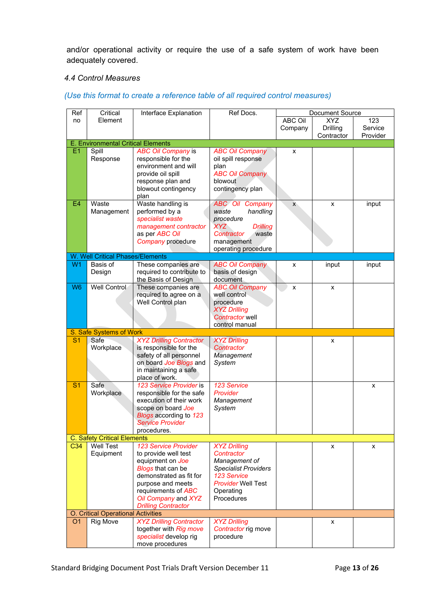and/or operational activity or require the use of a safe system of work have been adequately covered.

#### *4.4 Control Measures*

#### Ref | Critical | Interface Explanation | Ref Docs. | Document Source no **Critical** Element ABC Oil Company XYZ Drilling **Contractor** 123 Service Provider E. Environmental Critical Elements E1 | Spill Response *ABC Oil Company* is responsible for the environment and will provide oil spill response plan and blowout contingency plan *ABC Oil Company* oil spill response plan *ABC Oil Company* blowout contingency plan x E4 Waste Management Waste handling is performed by a *specialist waste management contractor* as per *ABC Oil Company* procedure *ABC Oil Company waste handling procedure XYZ Drilling Contractor* management operating procedure  $x \qquad x \qquad$  input W. Well Critical Phases/Elements W<sub>1</sub> Basis of Design These companies are required to contribute to the Basis of Design *ABC Oil Company* basis of design document x | input | input W6 Well Control These companies are required to agree on a Well Control plan *ABC Oil Company* well control procedure *XYZ Drilling Contractor* well control manual  $x \qquad \qquad x$ S. Safe Systems of Work S<sub>1</sub> Safe **Workplace** *XYZ Drilling Contractor* is responsible for the safety of all personnel on board *Joe Blogs* and in maintaining a safe place of work. *XYZ Drilling Contractor Management System* x S<sub>1</sub> Safe **Workplace** *123 Service Provider* is responsible for the safe execution of their work scope on board *Joe Blogs* according to *123 Service Provider* procedures. *123 Service Provider Management System* x C. Safety Critical Elements C<sub>34</sub> Well Test Equipment *123 Service Provider*  to provide well test equipment on *Joe Blogs* that can be demonstrated as fit for purpose and meets requirements of *ABC Oil Company* and *XYZ Drilling Contractor XYZ Drilling Contractor Management of Specialist Providers 123 Service Provider* Well Test **Operating Procedures**  $x \qquad \qquad \qquad$  x O. Critical Operational Activities<br>
O1 Rig Move XYZ Drill O1 Rig Move *XYZ Drilling Contractor XYZ Drilling* x

*Contractor* rig move

procedure

#### *(Use this format to create a reference table of all required control measures)*

together with *Rig move specialist* develop rig move procedures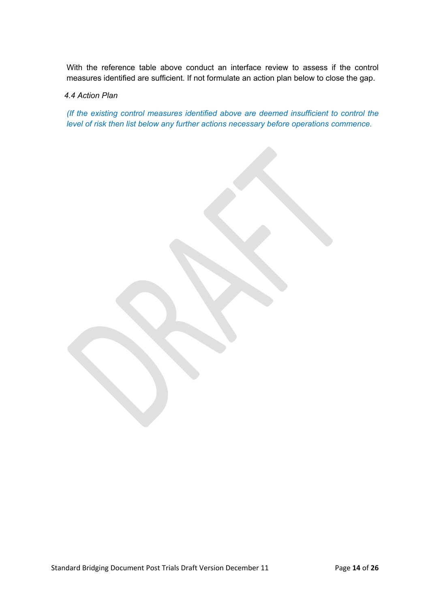With the reference table above conduct an interface review to assess if the control measures identified are sufficient. If not formulate an action plan below to close the gap.

#### *4.4 Action Plan*

*(If the existing control measures identified above are deemed insufficient to control the level of risk then list below any further actions necessary before operations commence.*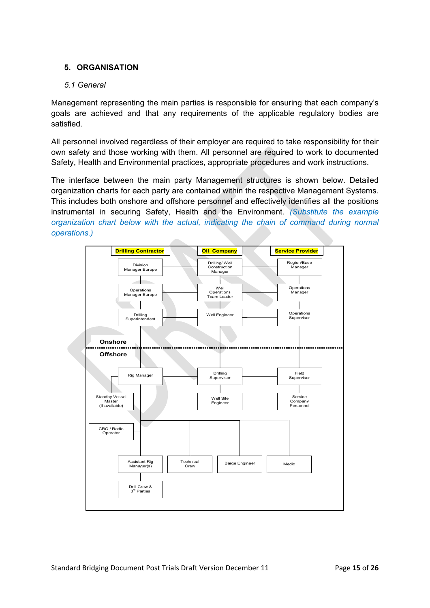### **5. ORGANISATION**

#### *5.1 General*

Management representing the main parties is responsible for ensuring that each company's goals are achieved and that any requirements of the applicable regulatory bodies are satisfied.

All personnel involved regardless of their employer are required to take responsibility for their own safety and those working with them. All personnel are required to work to documented Safety, Health and Environmental practices, appropriate procedures and work instructions.

The interface between the main party Management structures is shown below. Detailed organization charts for each party are contained within the respective Management Systems. This includes both onshore and offshore personnel and effectively identifies all the positions instrumental in securing Safety, Health and the Environment. *(Substitute the example organization chart below with the actual, indicating the chain of command during normal operations.)*

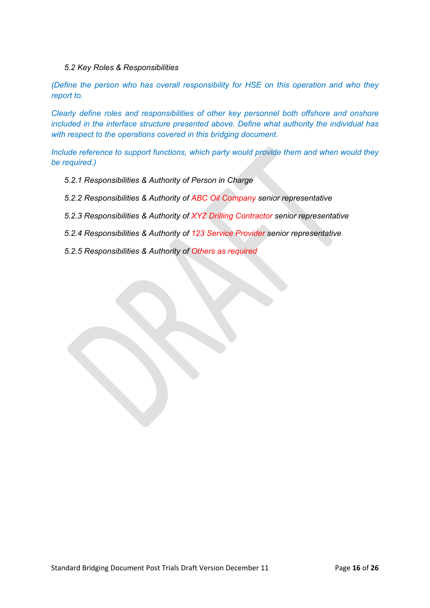#### *5.2 Key Roles & Responsibilities*

*(Define the person who has overall responsibility for HSE on this operation and who they report to.*

*Clearly define roles and responsibilities of other key personnel both offshore and onshore included in the interface structure presented above. Define what authority the individual has with respect to the operations covered in this bridging document.*

*Include reference to support functions, which party would provide them and when would they be required.)*

- *5.2.1 Responsibilities & Authority of Person in Charge*
- *5.2.2 Responsibilities & Authority of ABC Oil Company senior representative*
- *5.2.3 Responsibilities & Authority of XYZ Drilling Contractor senior representative*
- *5.2.4 Responsibilities & Authority of 123 Service Provider senior representative*
- *5.2.5 Responsibilities & Authority of Others as required*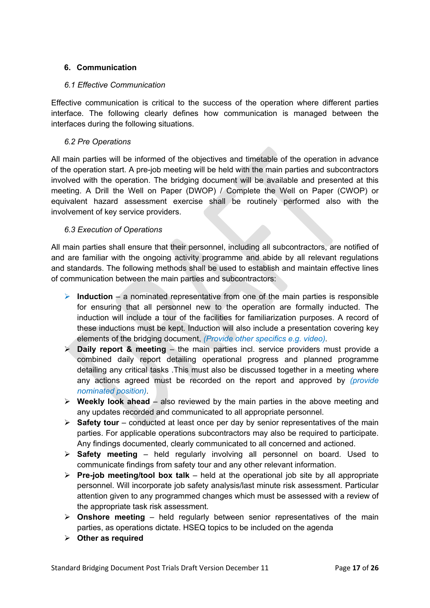#### **6. Communication**

#### *6.1 Effective Communication*

Effective communication is critical to the success of the operation where different parties interface. The following clearly defines how communication is managed between the interfaces during the following situations.

#### *6.2 Pre Operations*

All main parties will be informed of the objectives and timetable of the operation in advance of the operation start. A pre-job meeting will be held with the main parties and subcontractors involved with the operation. The bridging document will be available and presented at this meeting. A Drill the Well on Paper (DWOP) / Complete the Well on Paper (CWOP) or equivalent hazard assessment exercise shall be routinely performed also with the involvement of key service providers.

#### *6.3 Execution of Operations*

All main parties shall ensure that their personnel, including all subcontractors, are notified of and are familiar with the ongoing activity programme and abide by all relevant regulations and standards. The following methods shall be used to establish and maintain effective lines of communication between the main parties and subcontractors:

- **Induction** a nominated representative from one of the main parties is responsible for ensuring that all personnel new to the operation are formally inducted. The induction will include a tour of the facilities for familiarization purposes. A record of these inductions must be kept. Induction will also include a presentation covering key elements of the bridging document, *(Provide other specifics e.g. video).*
- **Daily report & meeting** the main parties incl. service providers must provide a combined daily report detailing operational progress and planned programme detailing any critical tasks .This must also be discussed together in a meeting where any actions agreed must be recorded on the report and approved by *(provide nominated position).*
- **Weekly look ahead** also reviewed by the main parties in the above meeting and any updates recorded and communicated to all appropriate personnel.
- **Safety tour** conducted at least once per day by senior representatives of the main parties. For applicable operations subcontractors may also be required to participate. Any findings documented, clearly communicated to all concerned and actioned.
- **Safety meeting** held regularly involving all personnel on board. Used to communicate findings from safety tour and any other relevant information.
- **Pre-job meeting/tool box talk** held at the operational job site by all appropriate personnel. Will incorporate job safety analysis/last minute risk assessment. Particular attention given to any programmed changes which must be assessed with a review of the appropriate task risk assessment.
- **Onshore meeting** held regularly between senior representatives of the main parties, as operations dictate. HSEQ topics to be included on the agenda
- **Other as required**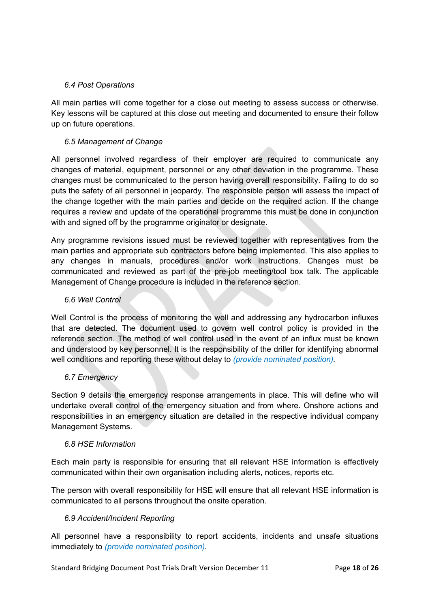#### *6.4 Post Operations*

All main parties will come together for a close out meeting to assess success or otherwise. Key lessons will be captured at this close out meeting and documented to ensure their follow up on future operations.

#### *6.5 Management of Change*

All personnel involved regardless of their employer are required to communicate any changes of material, equipment, personnel or any other deviation in the programme. These changes must be communicated to the person having overall responsibility. Failing to do so puts the safety of all personnel in jeopardy. The responsible person will assess the impact of the change together with the main parties and decide on the required action. If the change requires a review and update of the operational programme this must be done in conjunction with and signed off by the programme originator or designate.

Any programme revisions issued must be reviewed together with representatives from the main parties and appropriate sub contractors before being implemented. This also applies to any changes in manuals, procedures and/or work instructions. Changes must be communicated and reviewed as part of the pre-job meeting/tool box talk. The applicable Management of Change procedure is included in the reference section.

#### *6.6 Well Control*

Well Control is the process of monitoring the well and addressing any hydrocarbon influxes that are detected. The document used to govern well control policy is provided in the reference section. The method of well control used in the event of an influx must be known and understood by key personnel. It is the responsibility of the driller for identifying abnormal well conditions and reporting these without delay to *(provide nominated position).*

#### *6.7 Emergency*

Section 9 details the emergency response arrangements in place. This will define who will undertake overall control of the emergency situation and from where. Onshore actions and responsibilities in an emergency situation are detailed in the respective individual company Management Systems.

#### *6.8 HSE Information*

Each main party is responsible for ensuring that all relevant HSE information is effectively communicated within their own organisation including alerts, notices, reports etc.

The person with overall responsibility for HSE will ensure that all relevant HSE information is communicated to all persons throughout the onsite operation.

#### *6.9 Accident/Incident Reporting*

All personnel have a responsibility to report accidents, incidents and unsafe situations immediately to *(provide nominated position).*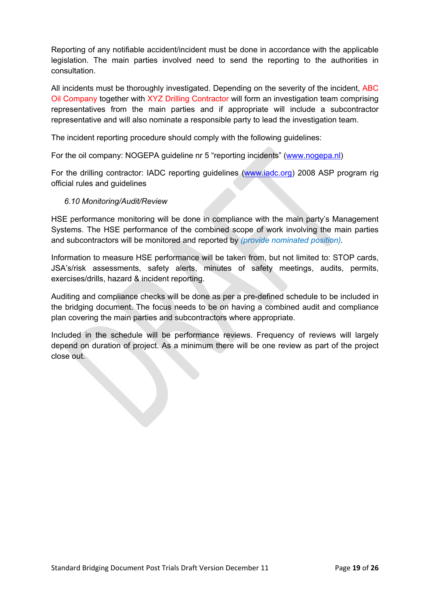Reporting of any notifiable accident/incident must be done in accordance with the applicable legislation. The main parties involved need to send the reporting to the authorities in consultation.

All incidents must be thoroughly investigated. Depending on the severity of the incident, ABC Oil Company together with XYZ Drilling Contractor will form an investigation team comprising representatives from the main parties and if appropriate will include a subcontractor representative and will also nominate a responsible party to lead the investigation team.

The incident reporting procedure should comply with the following guidelines:

For the oil company: NOGEPA guideline nr 5 "reporting incidents" ([www.nogepa.nl\)](http://www.nogepa.nl/)

For the drilling contractor: IADC reporting guidelines [\(www.iadc.org](http://www.iadc.org/)) 2008 ASP program rig official rules and guidelines

#### *6.10 Monitoring/Audit/Review*

HSE performance monitoring will be done in compliance with the main party's Management Systems. The HSE performance of the combined scope of work involving the main parties and subcontractors will be monitored and reported by *(provide nominated position).*

Information to measure HSE performance will be taken from, but not limited to: STOP cards, JSA's/risk assessments, safety alerts, minutes of safety meetings, audits, permits, exercises/drills, hazard & incident reporting.

Auditing and compliance checks will be done as per a pre-defined schedule to be included in the bridging document. The focus needs to be on having a combined audit and compliance plan covering the main parties and subcontractors where appropriate.

Included in the schedule will be performance reviews. Frequency of reviews will largely depend on duration of project. As a minimum there will be one review as part of the project close out.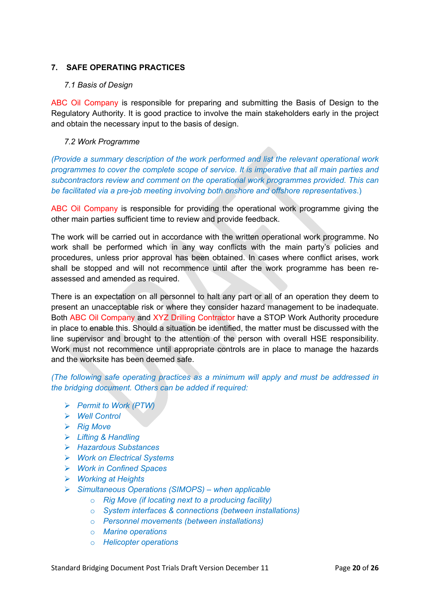#### **7. SAFE OPERATING PRACTICES**

#### *7.1 Basis of Design*

ABC Oil Company is responsible for preparing and submitting the Basis of Design to the Regulatory Authority. It is good practice to involve the main stakeholders early in the project and obtain the necessary input to the basis of design.

#### *7.2 Work Programme*

*(Provide a summary description of the work performed and list the relevant operational work programmes to cover the complete scope of service. It is imperative that all main parties and subcontractors review and comment on the operational work programmes provided. This can be facilitated via a pre-job meeting involving both onshore and offshore representatives*.)

ABC Oil Company is responsible for providing the operational work programme giving the other main parties sufficient time to review and provide feedback.

The work will be carried out in accordance with the written operational work programme. No work shall be performed which in any way conflicts with the main party's policies and procedures, unless prior approval has been obtained. In cases where conflict arises, work shall be stopped and will not recommence until after the work programme has been reassessed and amended as required.

There is an expectation on all personnel to halt any part or all of an operation they deem to present an unacceptable risk or where they consider hazard management to be inadequate. Both ABC Oil Company and XYZ Drilling Contractor have a STOP Work Authority procedure in place to enable this. Should a situation be identified, the matter must be discussed with the line supervisor and brought to the attention of the person with overall HSE responsibility. Work must not recommence until appropriate controls are in place to manage the hazards and the worksite has been deemed safe.

*(The following safe operating practices as a minimum will apply and must be addressed in the bridging document. Others can be added if required:*

- *Permit to Work (PTW)*
- *Well Control*
- *Rig Move*
- *Lifting & Handling*
- *Hazardous Substances*
- *Work on Electrical Systems*
- *Work in Confined Spaces*
- *Working at Heights*
- *Simultaneous Operations (SIMOPS) – when applicable*
	- o *Rig Move (if locating next to a producing facility)*
	- o *System interfaces & connections (between installations)*
	- o *Personnel movements (between installations)*
	- o *Marine operations*
	- o *Helicopter operations*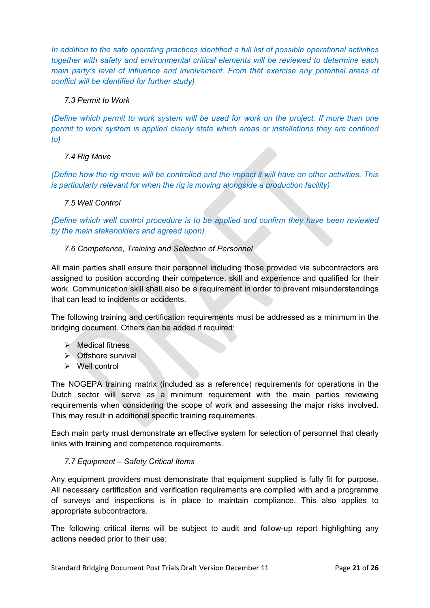*In addition to the safe operating practices identified a full list of possible operational activities together with safety and environmental critical elements will be reviewed to determine each main party's level of influence and involvement. From that exercise any potential areas of conflict will be identified for further study)*

#### *7.3 Permit to Work*

*(Define which permit to work system will be used for work on the project. If more than one permit to work system is applied clearly state which areas or installations they are confined to)*

#### *7.4 Rig Move*

*(Define how the rig move will be controlled and the impact it will have on other activities. This is particularly relevant for when the rig is moving alongside a production facility)*

#### *7.5 Well Control*

*(Define which well control procedure is to be applied and confirm they have been reviewed by the main stakeholders and agreed upon)*

#### *7.6 Competence, Training and Selection of Personnel*

All main parties shall ensure their personnel including those provided via subcontractors are assigned to position according their competence, skill and experience and qualified for their work. Communication skill shall also be a requirement in order to prevent misunderstandings that can lead to incidents or accidents.

The following training and certification requirements must be addressed as a minimum in the bridging document. Others can be added if required:

- $\triangleright$  Medical fitness
- $\triangleright$  Offshore survival
- $\triangleright$  Well control

The NOGEPA training matrix (included as a reference) requirements for operations in the Dutch sector will serve as a minimum requirement with the main parties reviewing requirements when considering the scope of work and assessing the major risks involved. This may result in additional specific training requirements.

Each main party must demonstrate an effective system for selection of personnel that clearly links with training and competence requirements.

#### *7.7 Equipment – Safety Critical Items*

Any equipment providers must demonstrate that equipment supplied is fully fit for purpose. All necessary certification and verification requirements are complied with and a programme of surveys and inspections is in place to maintain compliance. This also applies to appropriate subcontractors.

The following critical items will be subject to audit and follow-up report highlighting any actions needed prior to their use: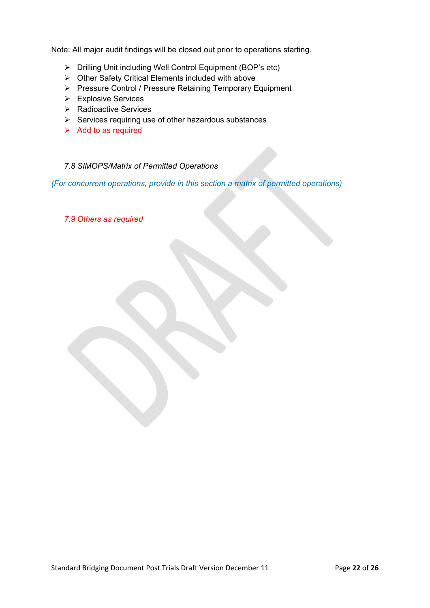Note: All major audit findings will be closed out prior to operations starting.

- Drilling Unit including Well Control Equipment (BOP's etc)
- $\triangleright$  Other Safety Critical Elements included with above
- Pressure Control / Pressure Retaining Temporary Equipment
- **Explosive Services**
- $\triangleright$  Radioactive Services
- $\triangleright$  Services requiring use of other hazardous substances
- $\triangleright$  Add to as required

#### *7.8 SIMOPS/Matrix of Permitted Operations*

*(For concurrent operations, provide in this section a matrix of permitted operations)*

*7.9 Others as required*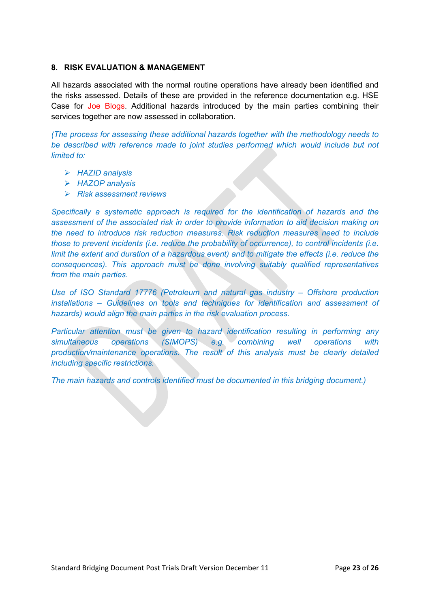#### **8. RISK EVALUATION & MANAGEMENT**

All hazards associated with the normal routine operations have already been identified and the risks assessed. Details of these are provided in the reference documentation e.g. HSE Case for Joe Blogs. Additional hazards introduced by the main parties combining their services together are now assessed in collaboration.

*(The process for assessing these additional hazards together with the methodology needs to be described with reference made to joint studies performed which would include but not limited to:*

- *HAZID analysis*
- *HAZOP analysis*
- *Risk assessment reviews*

*Specifically a systematic approach is required for the identification of hazards and the assessment of the associated risk in order to provide information to aid decision making on the need to introduce risk reduction measures. Risk reduction measures need to include those to prevent incidents (i.e. reduce the probability of occurrence), to control incidents (i.e. limit the extent and duration of a hazardous event) and to mitigate the effects (i.e. reduce the consequences). This approach must be done involving suitably qualified representatives from the main parties.*

*Use of ISO Standard 17776 (Petroleum and natural gas industry – Offshore production installations – Guidelines on tools and techniques for identification and assessment of hazards) would align the main parties in the risk evaluation process.*

*Particular attention must be given to hazard identification resulting in performing any simultaneous operations (SIMOPS) e.g. combining well operations with production/maintenance operations. The result of this analysis must be clearly detailed including specific restrictions.*

*The main hazards and controls identified must be documented in this bridging document.)*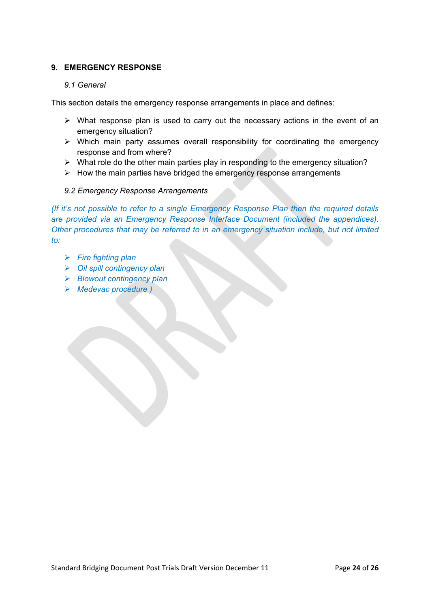#### **9. EMERGENCY RESPONSE**

#### *9.1 General*

This section details the emergency response arrangements in place and defines:

- $\triangleright$  What response plan is used to carry out the necessary actions in the event of an emergency situation?
- $\triangleright$  Which main party assumes overall responsibility for coordinating the emergency response and from where?
- $\triangleright$  What role do the other main parties play in responding to the emergency situation?
- $\triangleright$  How the main parties have bridged the emergency response arrangements

#### *9.2 Emergency Response Arrangements*

*(If it's not possible to refer to a single Emergency Response Plan then the required details are provided via an Emergency Response Interface Document (included the appendices). Other procedures that may be referred to in an emergency situation include, but not limited to:*

- *Fire fighting plan*
- *Oil spill contingency plan*
- *Blowout contingency plan*
- *Medevac procedure )*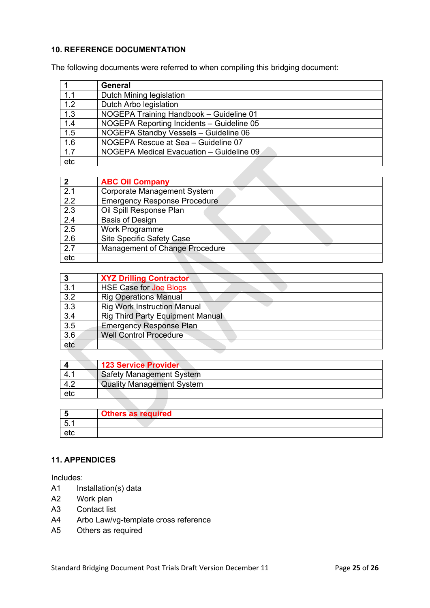#### **10. REFERENCE DOCUMENTATION**

The following documents were referred to when compiling this bridging document:

|     | General                                   |
|-----|-------------------------------------------|
| 1.1 | Dutch Mining legislation                  |
| 1.2 | Dutch Arbo legislation                    |
| 1.3 | NOGEPA Training Handbook - Guideline 01   |
| 1.4 | NOGEPA Reporting Incidents - Guideline 05 |
| 1.5 | NOGEPA Standby Vessels - Guideline 06     |
| 1.6 | NOGEPA Rescue at Sea - Guideline 07       |
| 1.7 | NOGEPA Medical Evacuation - Guideline 09  |
| etc |                                           |

| כי  | <b>ABC Oil Company</b>              |
|-----|-------------------------------------|
| 2.1 | Corporate Management System         |
| 2.2 | <b>Emergency Response Procedure</b> |
| 2.3 | Oil Spill Response Plan             |
| 2.4 | <b>Basis of Design</b>              |
| 2.5 | Work Programme                      |
| 2.6 | <b>Site Specific Safety Case</b>    |
| 2.7 | Management of Change Procedure      |
| etc |                                     |

| 3                | <b>XYZ Drilling Contractor</b>          |
|------------------|-----------------------------------------|
| 3.1              | <b>HSE Case for Joe Blogs</b>           |
| 3.2              | <b>Rig Operations Manual</b>            |
| $\overline{3.3}$ | <b>Rig Work Instruction Manual</b>      |
| $\overline{3.4}$ | <b>Rig Third Party Equipment Manual</b> |
| $\overline{3.5}$ | <b>Emergency Response Plan</b>          |
| 3.6              | <b>Well Control Procedure</b>           |
| etc              |                                         |

|     | <b>123 Service Provider</b>      |
|-----|----------------------------------|
| 4.1 | <b>Safety Management System</b>  |
| 4.2 | <b>Quality Management System</b> |
| etc |                                  |

|            | <b>Others as required</b> |
|------------|---------------------------|
| 片<br>ັບ. ເ |                           |
| etc        |                           |

### **11. APPENDICES**

Includes:

- A1 Installation(s) data
- A2 Work plan
- A3 Contact list
- A4 Arbo Law/vg-template cross reference
- A5 Others as required